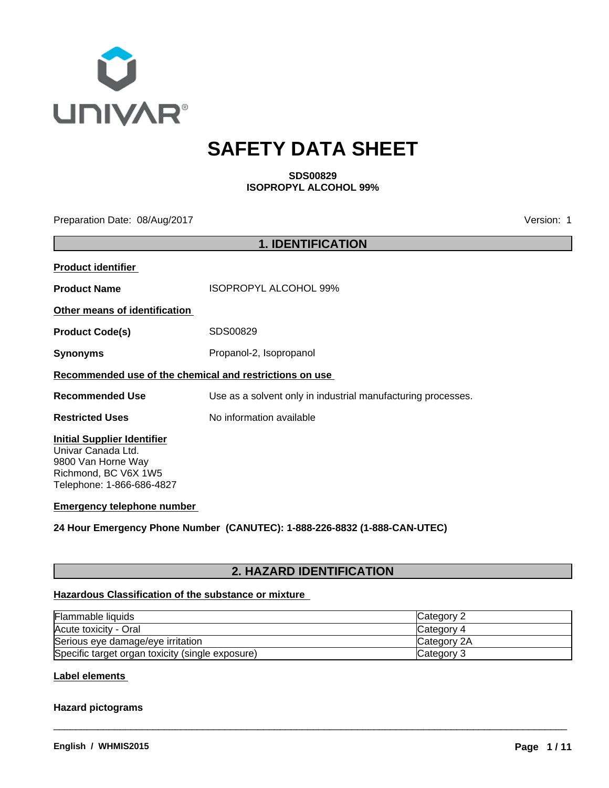

# **SAFETY DATA SHEET**

**SDS00829 ISOPROPYL ALCOHOL 99%**

Preparation Date: 08/Aug/2017 **Version: 1** 

|                                                                                                                                     | <b>1. IDENTIFICATION</b>                                     |
|-------------------------------------------------------------------------------------------------------------------------------------|--------------------------------------------------------------|
| <b>Product identifier</b>                                                                                                           |                                                              |
| <b>Product Name</b>                                                                                                                 | <b>ISOPROPYL ALCOHOL 99%</b>                                 |
| Other means of identification                                                                                                       |                                                              |
| <b>Product Code(s)</b>                                                                                                              | SDS00829                                                     |
| <b>Synonyms</b>                                                                                                                     | Propanol-2, Isopropanol                                      |
| Recommended use of the chemical and restrictions on use                                                                             |                                                              |
| <b>Recommended Use</b>                                                                                                              | Use as a solvent only in industrial manufacturing processes. |
| <b>Restricted Uses</b>                                                                                                              | No information available                                     |
| <b>Initial Supplier Identifier</b><br>Univar Canada Ltd.<br>9800 Van Horne Way<br>Richmond, BC V6X 1W5<br>Telephone: 1-866-686-4827 |                                                              |
| <b>Emergency telephone number</b>                                                                                                   |                                                              |
|                                                                                                                                     |                                                              |

**24 Hour Emergency Phone Number (CANUTEC): 1-888-226-8832 (1-888-CAN-UTEC)**

# **2. HAZARD IDENTIFICATION**

# **Hazardous Classification of the substance or mixture**

| <b>Flammable liquids</b>                         | <b>Category ∠</b>  |
|--------------------------------------------------|--------------------|
| Acute toxicity - Oral                            | ICategory 4        |
| Serious eye damage/eye irritation                | <b>Category 2A</b> |
| Specific target organ toxicity (single exposure) | Category 3         |

 $\overline{\phantom{a}}$  ,  $\overline{\phantom{a}}$  ,  $\overline{\phantom{a}}$  ,  $\overline{\phantom{a}}$  ,  $\overline{\phantom{a}}$  ,  $\overline{\phantom{a}}$  ,  $\overline{\phantom{a}}$  ,  $\overline{\phantom{a}}$  ,  $\overline{\phantom{a}}$  ,  $\overline{\phantom{a}}$  ,  $\overline{\phantom{a}}$  ,  $\overline{\phantom{a}}$  ,  $\overline{\phantom{a}}$  ,  $\overline{\phantom{a}}$  ,  $\overline{\phantom{a}}$  ,  $\overline{\phantom{a}}$ 

**Label elements** 

# **Hazard pictograms**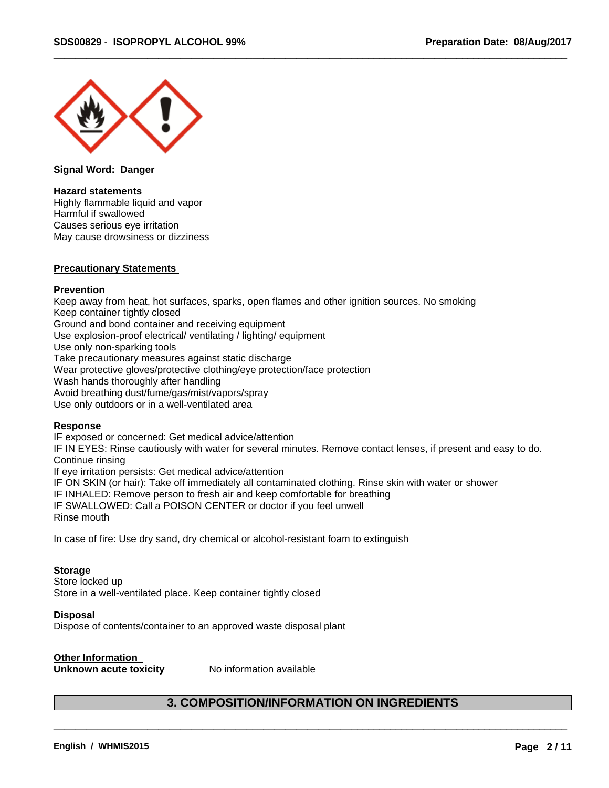

**Signal Word: Danger**

### **Hazard statements**

Highly flammable liquid and vapor Harmful if swallowed Causes serious eye irritation May cause drowsiness or dizziness

### **Precautionary Statements**

### **Prevention**

Keep away from heat, hot surfaces, sparks, open flames and other ignition sources. No smoking Keep container tightly closed Ground and bond container and receiving equipment Use explosion-proof electrical/ ventilating / lighting/ equipment Use only non-sparking tools Take precautionary measures against static discharge Wear protective gloves/protective clothing/eye protection/face protection Wash hands thoroughly after handling Avoid breathing dust/fume/gas/mist/vapors/spray Use only outdoors or in a well-ventilated area

### **Response**

IF exposed or concerned: Get medical advice/attention IF IN EYES: Rinse cautiously with water for several minutes. Remove contact lenses, if present and easy to do. Continue rinsing If eye irritation persists: Get medical advice/attention IF ON SKIN (or hair): Take off immediately all contaminated clothing. Rinse skin with water or shower IF INHALED: Remove person to fresh air and keep comfortable for breathing IF SWALLOWED: Call a POISON CENTER or doctor if you feel unwell Rinse mouth

In case of fire: Use dry sand, dry chemical or alcohol-resistant foam to extinguish

### **Storage**

Store locked up Store in a well-ventilated place. Keep container tightly closed

### **Disposal**

Dispose of contents/container to an approved waste disposal plant

# **Other Information**

**Unknown acute toxicity** No information available

# **3. COMPOSITION/INFORMATION ON INGREDIENTS**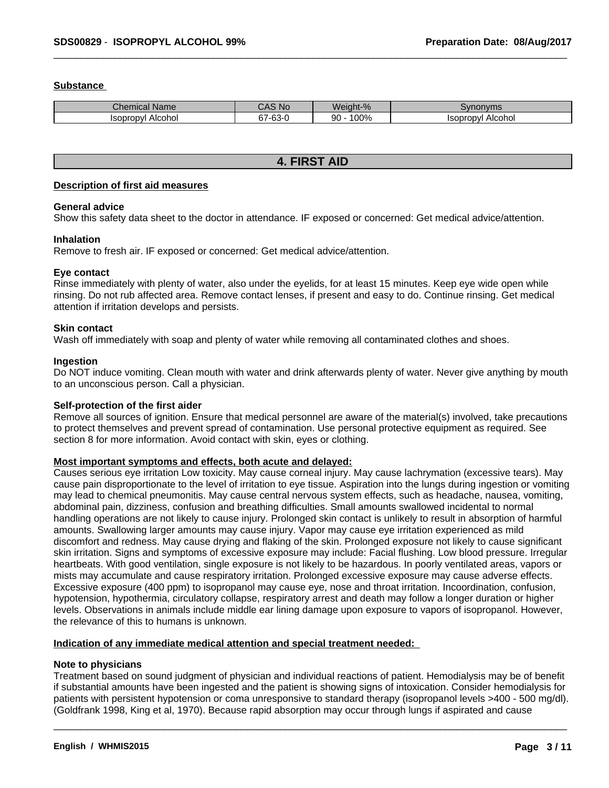# **Substance**

| Chemical Name               | N <sub>c</sub>                                          | $\Omega$      | 101112222                  |
|-----------------------------|---------------------------------------------------------|---------------|----------------------------|
|                             | -                                                       | ™ant- .       | w                          |
|                             | <b>UNU</b>                                              | 7ο            | nonvins                    |
| <b>Isopropyl</b><br>Alcohol | $\sim$<br>$\sim$ $\sim$<br>$\sim$ $\sim$ $\sim$<br>ხა-ს | $'00\%$<br>90 | Alcohol<br><b>ISODrODV</b> |

# **4. FIRST AID**

### **Description of first aid measures**

### **General advice**

Show this safety data sheet to the doctor in attendance. IF exposed or concerned: Get medical advice/attention.

### **Inhalation**

Remove to fresh air.IF exposed or concerned: Get medical advice/attention.

# **Eye contact**

Rinse immediately with plenty of water, also under the eyelids, for at least 15 minutes. Keep eye wide open while rinsing. Do not rub affected area. Remove contact lenses, if present and easy to do. Continue rinsing. Get medical attention if irritation develops and persists.

### **Skin contact**

Wash off immediately with soap and plenty of water while removing all contaminated clothes and shoes.

### **Ingestion**

Do NOT induce vomiting. Clean mouth with water and drink afterwards plenty of water. Never give anything by mouth to an unconscious person. Call a physician.

# **Self-protection of the first aider**

Remove all sources of ignition. Ensure that medical personnel are aware of the material(s) involved, take precautions to protect themselves and prevent spread of contamination. Use personal protective equipment as required. See section 8 for more information. Avoid contact with skin, eyes or clothing.

# **Most important symptoms and effects, both acute and delayed:**

Causes serious eye irritation Low toxicity. May cause corneal injury. May cause lachrymation (excessive tears). May cause pain disproportionate to the level of irritation to eye tissue. Aspiration into the lungs during ingestion or vomiting may lead to chemical pneumonitis. May cause central nervous system effects, such as headache, nausea, vomiting, abdominal pain, dizziness, confusion and breathing difficulties. Small amounts swallowed incidental to normal handling operations are not likely to cause injury. Prolonged skin contact is unlikely to result in absorption of harmful amounts. Swallowing larger amounts may cause injury. Vapor may cause eye irritation experienced as mild discomfort and redness. May cause drying and flaking of the skin. Prolonged exposure not likely to cause significant skin irritation. Signs and symptoms of excessive exposure may include: Facial flushing. Low blood pressure. Irregular heartbeats. With good ventilation, single exposure is not likely to be hazardous. In poorly ventilated areas, vapors or mists may accumulate and cause respiratory irritation. Prolonged excessive exposure may cause adverse effects. Excessive exposure (400 ppm) to isopropanol may cause eye, nose and throat irritation. Incoordination, confusion, hypotension, hypothermia, circulatory collapse, respiratory arrest and death may follow a longer duration or higher levels. Observations in animals include middle ear lining damage upon exposure to vapors of isopropanol. However, the relevance of this to humans is unknown.

# **Indication of any immediate medical attention and special treatment needed:**

# **Note to physicians**

Treatment based on sound judgment of physician and individual reactions of patient. Hemodialysis may be of benefit if substantial amounts have been ingested and the patient is showing signs of intoxication. Consider hemodialysis for patients with persistent hypotension or coma unresponsive to standard therapy (isopropanol levels >400 - 500 mg/dl). (Goldfrank 1998, King et al, 1970). Because rapid absorption may occur through lungs if aspirated and cause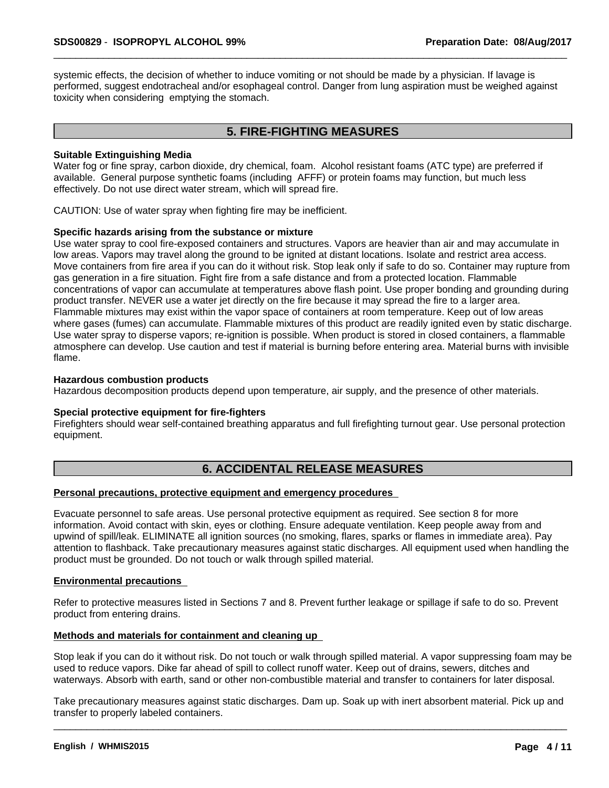systemic effects, the decision of whether to induce vomiting or not should be made by a physician. If lavage is performed, suggest endotracheal and/or esophageal control. Danger from lung aspiration must be weighed against toxicity when considering emptying the stomach.

# **5. FIRE-FIGHTING MEASURES**

### **Suitable Extinguishing Media**

Water fog or fine spray, carbon dioxide, dry chemical, foam. Alcohol resistant foams (ATC type) are preferred if available. General purpose synthetic foams (including AFFF) or protein foams may function, but much less effectively. Do not use direct water stream, which will spread fire.

CAUTION: Use of water spray when fighting fire may be inefficient.

### **Specific hazards arising from the substance or mixture**

Use water spray to cool fire-exposed containers and structures. Vapors are heavier than air and may accumulate in low areas. Vapors may travel along the ground to be ignited at distant locations. Isolate and restrict area access. Move containers from fire area if you can do it without risk. Stop leak only if safe to do so. Container may rupture from gas generation in a fire situation. Fight fire from a safe distance and from a protected location. Flammable concentrations of vapor can accumulate at temperatures above flash point. Use proper bonding and grounding during product transfer. NEVER use a water jet directly on the fire because it may spread the fire to a larger area. Flammable mixtures may exist within the vapor space of containers at room temperature. Keep out of low areas where gases (fumes) can accumulate. Flammable mixtures of this product are readily ignited even by static discharge. Use water spray to disperse vapors; re-ignition is possible.When product is stored in closed containers, a flammable atmosphere can develop. Use caution and test if material is burning before entering area. Material burns with invisible flame.

### **Hazardous combustion products**

Hazardous decomposition products depend upon temperature, air supply, and the presence of other materials.

### **Special protective equipment for fire-fighters**

Firefighters should wear self-contained breathing apparatus and full firefighting turnout gear. Use personal protection equipment.

# **6. ACCIDENTAL RELEASE MEASURES**

### **Personal precautions, protective equipment and emergency procedures**

Evacuate personnel to safe areas. Use personal protective equipment as required. See section 8 for more information. Avoid contact with skin, eyes or clothing. Ensure adequate ventilation. Keep people away from and upwind of spill/leak. ELIMINATE all ignition sources (no smoking, flares, sparks or flames in immediate area). Pay attention to flashback. Take precautionary measures against static discharges. All equipment used when handling the product must be grounded. Do not touch or walk through spilled material.

### **Environmental precautions**

Refer to protective measures listed in Sections 7 and 8. Prevent further leakage or spillage if safe to do so. Prevent product from entering drains.

### **Methods and materials for containment and cleaning up**

Stop leak if you can do it without risk. Do not touch or walk through spilled material. A vapor suppressing foam may be used to reduce vapors. Dike far ahead of spill to collect runoff water. Keep out of drains, sewers, ditches and waterways. Absorb with earth, sand or other non-combustible material and transfer to containers for later disposal.

Take precautionary measures against static discharges. Dam up. Soak up with inert absorbent material. Pick up and transfer to properly labeled containers.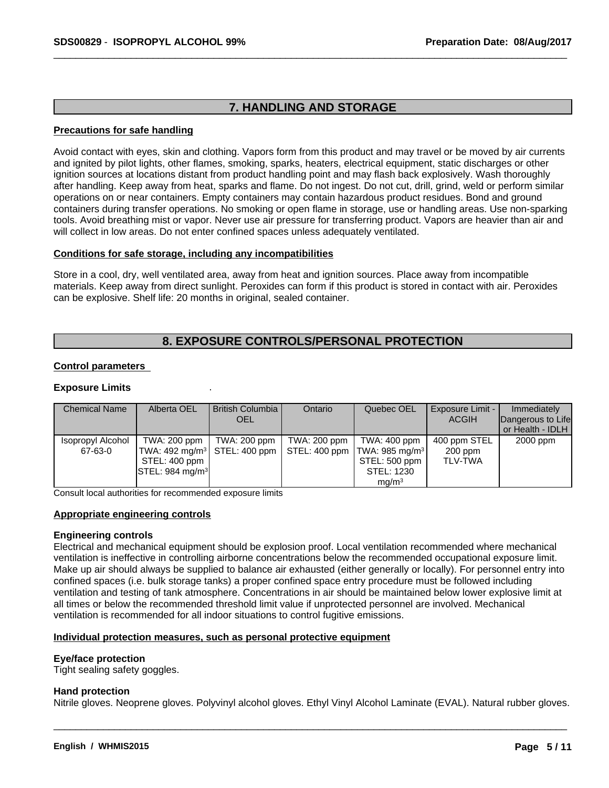# **7. HANDLING AND STORAGE**

### **Precautions for safe handling**

Avoid contact with eyes, skin and clothing. Vapors form from this product and may travel or be moved by air currents and ignited by pilot lights, other flames, smoking, sparks, heaters, electrical equipment, static discharges or other ignition sources at locations distant from product handling point and may flash back explosively. Wash thoroughly after handling. Keep away from heat, sparks and flame. Do not ingest. Do not cut, drill, grind, weld or perform similar operations on or near containers. Empty containers may contain hazardous product residues. Bond and ground containers during transfer operations. No smoking or open flame in storage, use or handling areas. Use non-sparking tools. Avoid breathing mist or vapor. Never use air pressure for transferring product. Vapors are heavier than air and will collect in low areas. Do not enter confined spaces unless adequately ventilated.

### **Conditions for safe storage, including any incompatibilities**

Store in a cool, dry, well ventilated area, away from heat and ignition sources. Place away from incompatible materials. Keep away from direct sunlight. Peroxides can form if this product is stored in contact with air. Peroxides can be explosive. Shelf life: 20 months in original, sealed container.

# **8. EXPOSURE CONTROLS/PERSONAL PROTECTION**

# **Control parameters**

# **Exposure Limits** .

| <b>Chemical Name</b> | Alberta OEL                           | British Columbia I | Ontario      | Quebec OEL                                                             | Exposure Limit - | Immediately                               |
|----------------------|---------------------------------------|--------------------|--------------|------------------------------------------------------------------------|------------------|-------------------------------------------|
|                      |                                       | <b>OEL</b>         |              |                                                                        | <b>ACGIH</b>     | Dangerous to Life<br>l or Health - IDLH I |
| Isopropyl Alcohol    | TWA: 200 ppm                          | TWA: 200 ppm       | TWA: 200 ppm | TWA: 400 ppm                                                           | 400 ppm STEL     | 2000 ppm                                  |
| 67-63-0              |                                       |                    |              | TWA: 492 mg/m $^3$   STEL: 400 ppm   STEL: 400 ppm  TWA: 985 mg/m $^3$ | 200 ppm          |                                           |
|                      | STEL: 400 ppm                         |                    |              | STEL: 500 ppm                                                          | <b>TLV-TWA</b>   |                                           |
|                      | $\textsf{ISTEL}: 984 \textsf{mq/m}^3$ |                    |              | STEL: 1230                                                             |                  |                                           |
|                      |                                       |                    |              | mq/m <sup>3</sup>                                                      |                  |                                           |

Consult local authorities for recommended exposure limits

### **Appropriate engineering controls**

### **Engineering controls**

Electrical and mechanical equipment should be explosion proof. Local ventilation recommended where mechanical ventilation is ineffective in controlling airborne concentrations below the recommended occupational exposure limit. Make up air should always be supplied to balance air exhausted (either generally or locally). For personnel entry into confined spaces (i.e. bulk storage tanks) a proper confined space entry procedure must be followed including ventilation and testing of tank atmosphere. Concentrations in air should be maintained below lower explosive limit at all times or below the recommended threshold limit value if unprotected personnel are involved. Mechanical ventilation is recommended for all indoor situations to control fugitive emissions.

### **Individual protection measures, such as personal protective equipment**

### **Eye/face protection**

Tight sealing safety goggles.

### **Hand protection**

Nitrile gloves. Neoprene gloves. Polyvinyl alcohol gloves. Ethyl Vinyl Alcohol Laminate (EVAL). Natural rubber gloves.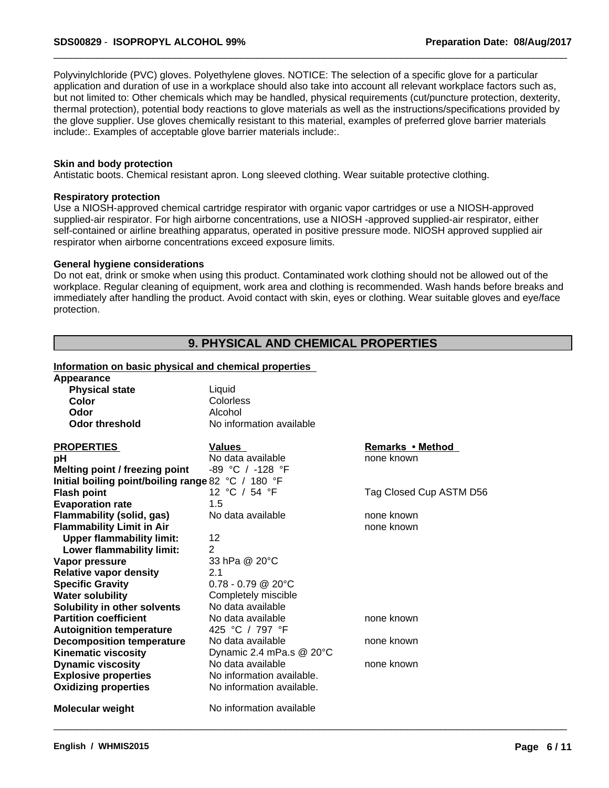Polyvinylchloride (PVC) gloves. Polyethylene gloves. NOTICE: The selection of a specific glove for a particular application and duration of use in a workplace should also take into account all relevant workplace factors such as, but not limited to: Other chemicals which may be handled, physical requirements (cut/puncture protection, dexterity, thermal protection), potential body reactions to glove materials as well as the instructions/specifications provided by the glove supplier. Use gloves chemically resistant to this material, examples of preferred glove barrier materials include:. Examples of acceptable glove barrier materials include:.

### **Skin and body protection**

Antistatic boots. Chemical resistant apron. Long sleeved clothing. Wear suitable protective clothing.

### **Respiratory protection**

Use a NIOSH-approved chemical cartridge respirator with organic vapor cartridges or use a NIOSH-approved supplied-air respirator. For high airborne concentrations, use a NIOSH -approved supplied-air respirator, either self-contained or airline breathing apparatus, operated in positive pressure mode. NIOSH approved supplied air respirator when airborne concentrations exceed exposure limits.

### **General hygiene considerations**

Do not eat, drink or smoke when using this product. Contaminated work clothing should not be allowed out of the workplace. Regular cleaning of equipment, work area and clothing is recommended. Wash hands before breaks and immediately after handling the product. Avoid contact with skin, eyes or clothing. Wear suitable gloves and eye/face protection.

# **9. PHYSICAL AND CHEMICAL PROPERTIES**

 $\overline{\phantom{a}}$  ,  $\overline{\phantom{a}}$  ,  $\overline{\phantom{a}}$  ,  $\overline{\phantom{a}}$  ,  $\overline{\phantom{a}}$  ,  $\overline{\phantom{a}}$  ,  $\overline{\phantom{a}}$  ,  $\overline{\phantom{a}}$  ,  $\overline{\phantom{a}}$  ,  $\overline{\phantom{a}}$  ,  $\overline{\phantom{a}}$  ,  $\overline{\phantom{a}}$  ,  $\overline{\phantom{a}}$  ,  $\overline{\phantom{a}}$  ,  $\overline{\phantom{a}}$  ,  $\overline{\phantom{a}}$ 

# **Information on basic physical and chemical properties**

| Appearance                                         |                           |                         |
|----------------------------------------------------|---------------------------|-------------------------|
| <b>Physical state</b>                              | Liquid                    |                         |
| Color                                              | Colorless                 |                         |
| Odor                                               | Alcohol                   |                         |
| <b>Odor threshold</b>                              | No information available  |                         |
| <b>PROPERTIES</b>                                  | Values                    | Remarks • Method        |
| pH                                                 | No data available         | none known              |
| Melting point / freezing point                     | -89 °C / -128 °F          |                         |
| Initial boiling point/boiling range 82 °C / 180 °F |                           |                         |
| <b>Flash point</b>                                 | 12 °C / 54 °F             | Tag Closed Cup ASTM D56 |
| <b>Evaporation rate</b>                            | 1.5                       |                         |
| Flammability (solid, gas)                          | No data available         | none known              |
| <b>Flammability Limit in Air</b>                   |                           | none known              |
| <b>Upper flammability limit:</b>                   | 12                        |                         |
| Lower flammability limit:                          | $\overline{2}$            |                         |
| Vapor pressure                                     | 33 hPa @ 20°C             |                         |
| <b>Relative vapor density</b>                      | 2.1                       |                         |
| <b>Specific Gravity</b>                            | $0.78 - 0.79$ @ 20°C      |                         |
| <b>Water solubility</b>                            | Completely miscible       |                         |
| Solubility in other solvents                       | No data available         |                         |
| <b>Partition coefficient</b>                       | No data available         | none known              |
| <b>Autoignition temperature</b>                    | 425 °C / 797 °F           |                         |
| <b>Decomposition temperature</b>                   | No data available         | none known              |
| <b>Kinematic viscosity</b>                         | Dynamic 2.4 mPa.s @ 20°C  |                         |
| <b>Dynamic viscosity</b>                           | No data available         | none known              |
| <b>Explosive properties</b>                        | No information available. |                         |
| <b>Oxidizing properties</b>                        | No information available. |                         |
|                                                    |                           |                         |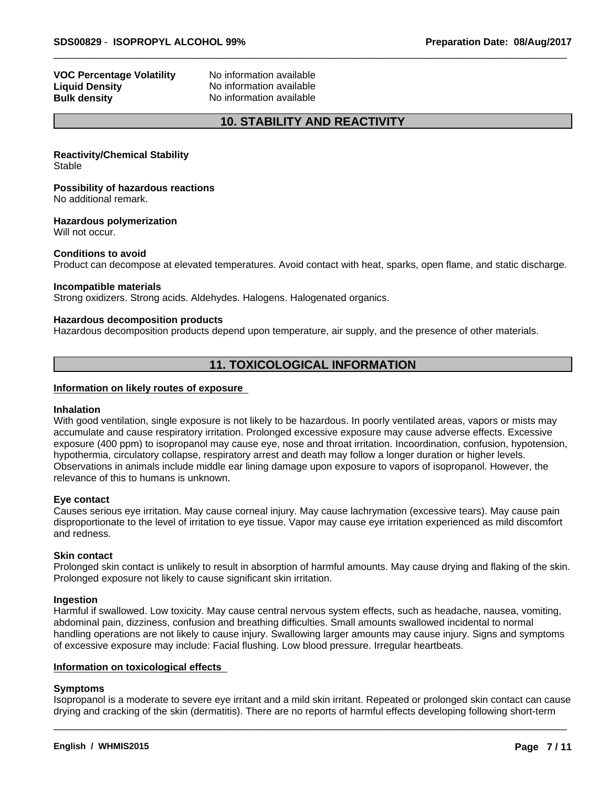# **VOC Percentage Volatility** No information available **Liquid Density**<br> **Bulk density**<br> **Bulk density**<br> **CO No** information available

**No information available** 

# **10. STABILITY AND REACTIVITY**

**Reactivity/Chemical Stability** Stable

**Possibility of hazardous reactions** No additional remark.

**Hazardous polymerization**

Will not occur.

### **Conditions to avoid**

Product can decompose at elevated temperatures. Avoid contact with heat, sparks, open flame, and static discharge.

### **Incompatible materials**

Strong oxidizers. Strong acids. Aldehydes. Halogens. Halogenated organics.

### **Hazardous decomposition products**

Hazardous decomposition products depend upon temperature, air supply, and the presence of other materials.

# **11. TOXICOLOGICAL INFORMATION**

# **Information on likely routes of exposure**

### **Inhalation**

With good ventilation, single exposure is not likely to be hazardous. In poorly ventilated areas, vapors or mists may accumulate and cause respiratory irritation. Prolonged excessive exposure may cause adverse effects. Excessive exposure (400 ppm) to isopropanol may cause eye, nose and throat irritation. Incoordination, confusion, hypotension, hypothermia, circulatory collapse, respiratory arrest and death may follow a longer duration or higher levels. Observations in animals include middle ear lining damage upon exposure to vapors of isopropanol. However, the relevance of this to humans is unknown.

### **Eye contact**

Causes serious eye irritation. May cause corneal injury. May cause lachrymation (excessive tears). May cause pain disproportionate to the level of irritation to eye tissue. Vapor may cause eye irritation experienced as mild discomfort and redness.

### **Skin contact**

Prolonged skin contact is unlikely to result in absorption of harmful amounts. May cause drying and flaking of the skin. Prolonged exposure not likely to cause significant skin irritation.

### **Ingestion**

Harmful if swallowed. Low toxicity. May cause central nervous system effects, such as headache, nausea, vomiting, abdominal pain, dizziness, confusion and breathing difficulties. Small amounts swallowed incidental to normal handling operations are not likely to cause injury. Swallowing larger amounts may cause injury. Signs and symptoms of excessive exposure may include: Facial flushing. Low blood pressure. Irregular heartbeats.

# **Information on toxicological effects**

# **Symptoms**

Isopropanol is a moderate to severe eye irritant and a mild skin irritant. Repeated or prolonged skin contact can cause drying and cracking of the skin (dermatitis). There are no reports of harmful effects developing following short-term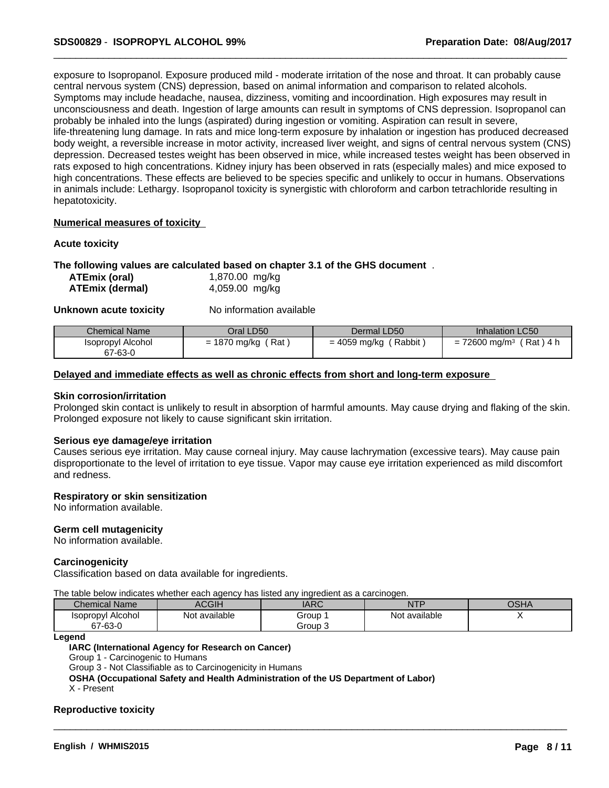exposure to Isopropanol. Exposure produced mild - moderate irritation of the nose and throat. It can probably cause central nervous system (CNS) depression, based on animal information and comparison to related alcohols. Symptoms may include headache, nausea, dizziness, vomiting and incoordination. High exposures may result in unconsciousness and death. Ingestion of large amounts can result in symptoms of CNS depression. Isopropanol can probably be inhaled into the lungs (aspirated) during ingestion or vomiting. Aspiration can result in severe, life-threatening lung damage. In rats and mice long-term exposure by inhalation or ingestion has produced decreased body weight, a reversible increase in motor activity, increased liver weight, and signs of central nervous system (CNS) depression. Decreased testes weight has been observed in mice, while increased testes weight has been observed in rats exposed to high concentrations. Kidney injury has been observed in rats (especially males) and mice exposed to high concentrations. These effects are believed to be species specific and unlikely to occur in humans. Observations in animals include: Lethargy. Isopropanol toxicity is synergistic with chloroform and carbontetrachloride resulting in hepatotoxicity.

# **Numerical measures of toxicity**

### **Acute toxicity**

### **The following values are calculated based on chapter 3.1 of the GHS document** .

| ATEmix (oral)          | 1,870.00 mg/kg |  |
|------------------------|----------------|--|
| <b>ATEmix (dermal)</b> | 4,059.00 mg/kg |  |

**Unknown acute toxicity** No information available

| <b>Chemical Name</b>         | Oral LD50                                          | Dermal LD50             | <b>Inhalation LC50</b>                                   |
|------------------------------|----------------------------------------------------|-------------------------|----------------------------------------------------------|
| Isopropyl Alcohol<br>67-63-0 | Rat<br>1870 mg/kg<br>$\overline{\phantom{0}}$<br>= | Rabbit,<br>= 4059 mg/kg | Rat)<br>72600 mg/m <sup>3</sup><br>\ 4 h<br>$=$ $\prime$ |

### **Delayed and immediate effects as well as chronic effects from short and long-term exposure**

### **Skin corrosion/irritation**

Prolonged skin contact is unlikely to result in absorption of harmful amounts. May cause drying and flaking of the skin. Prolonged exposure not likely to cause significant skin irritation.

### **Serious eye damage/eye irritation**

Causes serious eye irritation. May cause corneal injury. May cause lachrymation (excessive tears). May cause pain disproportionate to the level of irritation to eye tissue. Vapor may cause eye irritation experienced as mild discomfort and redness.

### **Respiratory or skin sensitization**

No information available.

### **Germ cell mutagenicity**

No information available.

### **Carcinogenicity**

Classification based on data available for ingredients.

The table below indicateswhether each agency has listed any ingredient as a carcinogen.

| Chemical<br>Name             | <b>ACGIH</b>                 | $\triangle$ D $\cap$<br><b>IANU</b> | <b>NTF</b>        | OSHA |  |
|------------------------------|------------------------------|-------------------------------------|-------------------|------|--|
| Isopropyl Alcohol<br>67-63-0 | $\cdots$<br>available<br>Not | Group<br>Group 3                    | <br>Not available |      |  |

 $\overline{\phantom{a}}$  ,  $\overline{\phantom{a}}$  ,  $\overline{\phantom{a}}$  ,  $\overline{\phantom{a}}$  ,  $\overline{\phantom{a}}$  ,  $\overline{\phantom{a}}$  ,  $\overline{\phantom{a}}$  ,  $\overline{\phantom{a}}$  ,  $\overline{\phantom{a}}$  ,  $\overline{\phantom{a}}$  ,  $\overline{\phantom{a}}$  ,  $\overline{\phantom{a}}$  ,  $\overline{\phantom{a}}$  ,  $\overline{\phantom{a}}$  ,  $\overline{\phantom{a}}$  ,  $\overline{\phantom{a}}$ 

**Legend**

### **IARC (International Agency for Research on Cancer)**

Group 1 - Carcinogenic to Humans

Group 3 - Not Classifiable as to Carcinogenicity in Humans

**OSHA (Occupational Safety and Health Administration of the US Department of Labor)**

X - Present

### **Reproductive toxicity**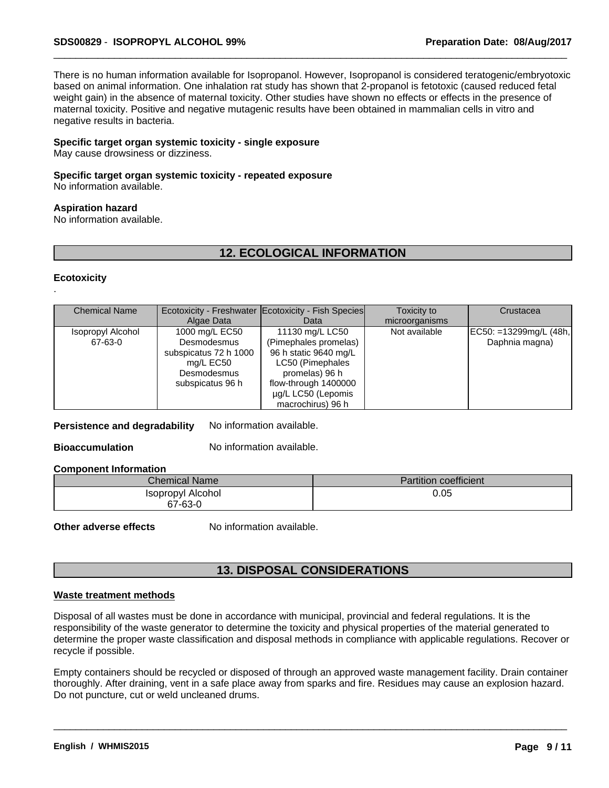There is no human information available for Isopropanol. However, Isopropanol is considered teratogenic/embryotoxic based on animal information. One inhalation rat study has shown that 2-propanol is fetotoxic (caused reduced fetal weight gain) in the absence of maternal toxicity. Other studies have shown no effects or effects in the presence of maternal toxicity. Positive and negative mutagenic results have been obtained in mammalian cells in vitro and negative results in bacteria.

### **Specific target organ systemic toxicity - single exposure**

May cause drowsiness or dizziness.

# **Specific target organ systemic toxicity - repeated exposure**

No information available.

# **Aspiration hazard**

No information available.

# **12. ECOLOGICAL INFORMATION**

### **Ecotoxicity** .

| <b>Chemical Name</b> |                       | Ecotoxicity - Freshwater Ecotoxicity - Fish Species | Toxicity to    | Crustacea              |
|----------------------|-----------------------|-----------------------------------------------------|----------------|------------------------|
|                      | Algae Data            | Data                                                | microorganisms |                        |
| Isopropyl Alcohol    | 1000 mg/L EC50        | 11130 mg/L LC50                                     | Not available  | EC50: =13299mg/L (48h, |
| 67-63-0              | Desmodesmus           | (Pimephales promelas)                               |                | Daphnia magna)         |
|                      | subspicatus 72 h 1000 | 96 h static 9640 mg/L                               |                |                        |
|                      | mg/L EC50             | LC50 (Pimephales                                    |                |                        |
|                      | Desmodesmus           | promelas) 96 h                                      |                |                        |
|                      | subspicatus 96 h      | flow-through 1400000                                |                |                        |
|                      |                       | ug/L LC50 (Lepomis                                  |                |                        |
|                      |                       | macrochirus) 96 h                                   |                |                        |

**Persistence and degradability** No information available.

**Bioaccumulation** No information available.

### **Component Information**

| Chemical Name     | <b>Partition coefficient</b> |
|-------------------|------------------------------|
| Isopropyl Alcohol | 0.05                         |
| 67-63-0           |                              |

**Other adverse effects** No information available.

# **13. DISPOSAL CONSIDERATIONS**

### **Waste treatment methods**

Disposal of all wastes must be done in accordance with municipal, provincial and federal regulations. It is the responsibility of the waste generator to determine the toxicity and physical properties of the material generated to determine the proper waste classification and disposal methods in compliance with applicable regulations. Recover or recycle if possible.

Empty containers should be recycled or disposed of through an approved waste management facility. Drain container thoroughly. After draining, vent in a safe place away from sparks and fire. Residues may cause an explosion hazard. Do not puncture, cut or weld uncleaned drums.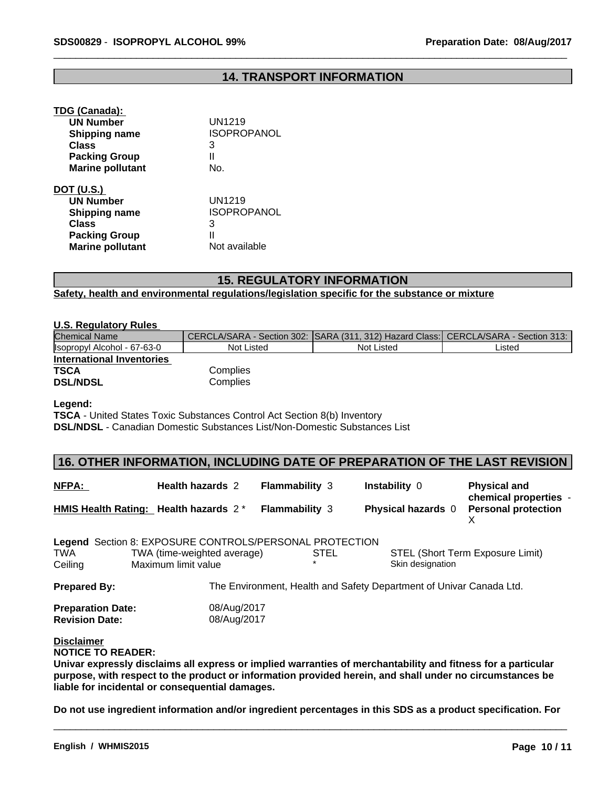# **14. TRANSPORT INFORMATION**

#### **TDG (Canada):**

| <b>UN Number</b>        | <b>UN1219</b>      |  |
|-------------------------|--------------------|--|
| <b>Shipping name</b>    | <b>ISOPROPANOL</b> |  |
| Class                   | 3                  |  |
| <b>Packing Group</b>    | Ш                  |  |
| <b>Marine pollutant</b> | No.                |  |
| DOT (U.S.)              |                    |  |
| <b>UN Number</b>        | UN1219             |  |
| Shipping name           | <b>ISOPROPANOL</b> |  |
| Class                   | 3                  |  |
| <b>Packing Group</b>    | II                 |  |
| <b>Marine pollutant</b> | Not available      |  |

# **15. REGULATORY INFORMATION**

**Safety, health and environmental regulations/legislation specific for the substance or mixture**

# **U.S. Regulatory Rules**

| Chemical Name               |            | CERCLA/SARA - Section 302: SARA (311, 312) Hazard Class: CERCLA/SARA - Section 313: |        |
|-----------------------------|------------|-------------------------------------------------------------------------------------|--------|
| Isopropyl Alcohol - 67-63-0 | Not Listed | Not Listed                                                                          | Listed |
| International Inventories   |            |                                                                                     |        |
| <b>TSCA</b>                 | Complies   |                                                                                     |        |
| <b>DSL/NDSL</b>             | Complies   |                                                                                     |        |

### **Legend:**

**TSCA** - United States Toxic Substances Control Act Section 8(b) Inventory **DSL/NDSL** - Canadian Domestic Substances List/Non-Domestic Substances List

# **16. OTHER INFORMATION, INCLUDING DATE OF PREPARATION OF THE LAST REVISION**

| NFPA:                                                                     | <b>Health hazards 2</b>                            | <b>Flammability 3</b> | <b>Instability 0</b>                                                | <b>Physical and</b><br>chemical properties -<br><b>Personal protection</b> |
|---------------------------------------------------------------------------|----------------------------------------------------|-----------------------|---------------------------------------------------------------------|----------------------------------------------------------------------------|
| HMIS Health Rating: Health hazards $2^*$                                  |                                                    | <b>Flammability 3</b> | <b>Physical hazards 0</b>                                           |                                                                            |
| Legend Section 8: EXPOSURE CONTROLS/PERSONAL PROTECTION<br>TWA<br>Ceiling | TWA (time-weighted average)<br>Maximum limit value | <b>STEL</b>           | Skin designation                                                    | STEL (Short Term Exposure Limit)                                           |
| <b>Prepared By:</b>                                                       |                                                    |                       | The Environment, Health and Safety Department of Univar Canada Ltd. |                                                                            |
| <b>Preparation Date:</b><br><b>Revision Date:</b>                         | 08/Aug/2017<br>08/Aug/2017                         |                       |                                                                     |                                                                            |

**Disclaimer**

**NOTICE TO READER:**

**Univar expressly disclaims all express or implied warranties of merchantability and fitness for a particular purpose, with respect to the product or information provided herein, and shall under no circumstances be liable for incidental or consequential damages.**

**Do not use ingredient information and/or ingredient percentages in this SDS as a product specification. For**